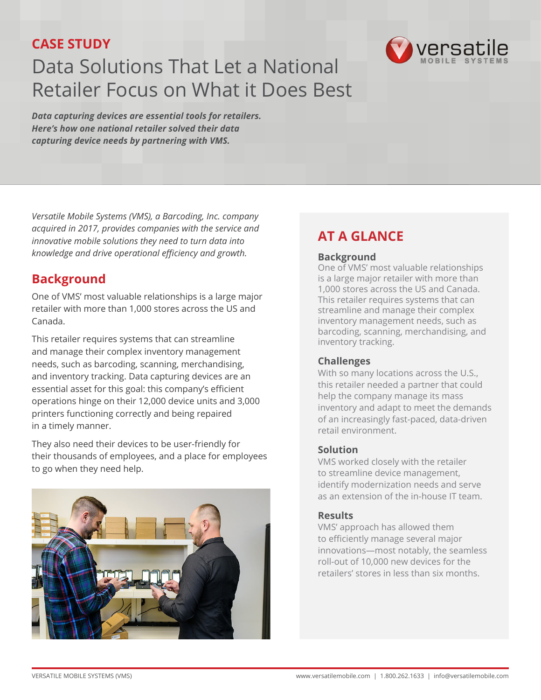### **CASE STUDY**

# Data Solutions That Let a National Retailer Focus on What it Does Best

*Data capturing devices are essential tools for retailers. Here's how one national retailer solved their data capturing device needs by partnering with VMS.*

*Versatile Mobile Systems (VMS), a Barcoding, Inc. company acquired in 2017, provides companies with the service and innovative mobile solutions they need to turn data into knowledge and drive operational efficiency and growth.* 

### **Background**

One of VMS' most valuable relationships is a large major retailer with more than 1,000 stores across the US and Canada.

This retailer requires systems that can streamline and manage their complex inventory management needs, such as barcoding, scanning, merchandising, and inventory tracking. Data capturing devices are an essential asset for this goal: this company's efficient operations hinge on their 12,000 device units and 3,000 printers functioning correctly and being repaired in a timely manner.

They also need their devices to be user-friendly for their thousands of employees, and a place for employees to go when they need help.



# **AT A GLANCE**

#### **Background**

One of VMS' most valuable relationships is a large major retailer with more than 1,000 stores across the US and Canada. This retailer requires systems that can streamline and manage their complex inventory management needs, such as barcoding, scanning, merchandising, and inventory tracking.

versatile

#### **Challenges**

With so many locations across the U.S., this retailer needed a partner that could help the company manage its mass inventory and adapt to meet the demands of an increasingly fast-paced, data-driven retail environment.

#### **Solution**

VMS worked closely with the retailer to streamline device management, identify modernization needs and serve as an extension of the in-house IT team.

#### **Results**

VMS' approach has allowed them to efficiently manage several major innovations—most notably, the seamless roll-out of 10,000 new devices for the retailers' stores in less than six months.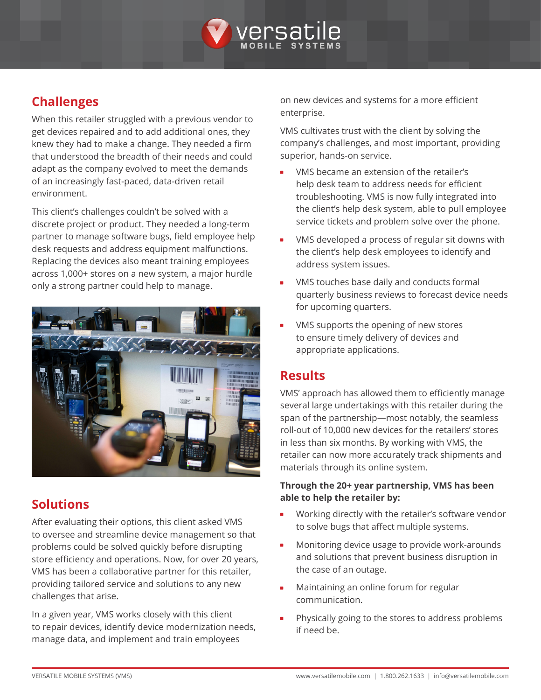

## **Challenges**

When this retailer struggled with a previous vendor to get devices repaired and to add additional ones, they knew they had to make a change. They needed a firm that understood the breadth of their needs and could adapt as the company evolved to meet the demands of an increasingly fast-paced, data-driven retail environment.

This client's challenges couldn't be solved with a discrete project or product. They needed a long-term partner to manage software bugs, field employee help desk requests and address equipment malfunctions. Replacing the devices also meant training employees across 1,000+ stores on a new system, a major hurdle only a strong partner could help to manage.



### **Solutions**

After evaluating their options, this client asked VMS to oversee and streamline device management so that problems could be solved quickly before disrupting store efficiency and operations. Now, for over 20 years, VMS has been a collaborative partner for this retailer, providing tailored service and solutions to any new challenges that arise.

In a given year, VMS works closely with this client to repair devices, identify device modernization needs, manage data, and implement and train employees

on new devices and systems for a more efficient enterprise.

VMS cultivates trust with the client by solving the company's challenges, and most important, providing superior, hands-on service.

- VMS became an extension of the retailer's help desk team to address needs for efficient troubleshooting. VMS is now fully integrated into the client's help desk system, able to pull employee service tickets and problem solve over the phone.
- VMS developed a process of regular sit downs with the client's help desk employees to identify and address system issues.
- VMS touches base daily and conducts formal quarterly business reviews to forecast device needs for upcoming quarters.
- VMS supports the opening of new stores to ensure timely delivery of devices and appropriate applications.

### **Results**

VMS' approach has allowed them to efficiently manage several large undertakings with this retailer during the span of the partnership—most notably, the seamless roll-out of 10,000 new devices for the retailers' stores in less than six months. By working with VMS, the retailer can now more accurately track shipments and materials through its online system.

#### **Through the 20+ year partnership, VMS has been able to help the retailer by:**

- Working directly with the retailer's software vendor to solve bugs that affect multiple systems.
- Monitoring device usage to provide work-arounds and solutions that prevent business disruption in the case of an outage.
- Maintaining an online forum for regular communication.
- Physically going to the stores to address problems if need be.